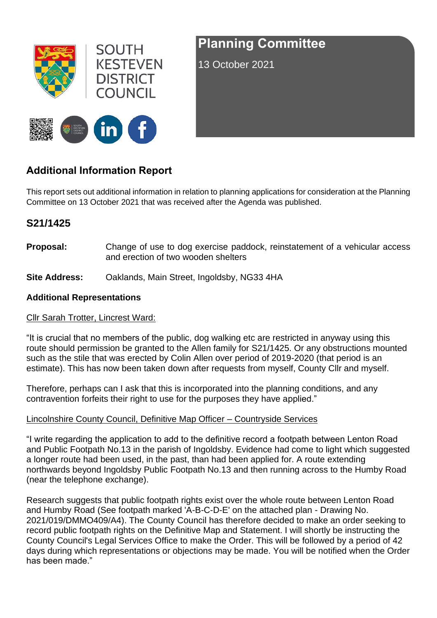

**SOUTH KESTEVEN DISTRICT TINCIL** 



# **Planning Committee**

13 October 2021

## **Additional Information Report**

This report sets out additional information in relation to planning applications for consideration at the Planning Committee on 13 October 2021 that was received after the Agenda was published.

### **S21/1425**

- **Proposal:** Change of use to dog exercise paddock, reinstatement of a vehicular access and erection of two wooden shelters
- **Site Address:** Oaklands, Main Street, Ingoldsby, NG33 4HA

#### **Additional Representations**

#### Cllr Sarah Trotter, Lincrest Ward:

"It is crucial that no members of the public, dog walking etc are restricted in anyway using this route should permission be granted to the Allen family for S21/1425. Or any obstructions mounted such as the stile that was erected by Colin Allen over period of 2019-2020 (that period is an estimate). This has now been taken down after requests from myself, County Cllr and myself.

Therefore, perhaps can I ask that this is incorporated into the planning conditions, and any contravention forfeits their right to use for the purposes they have applied."

#### Lincolnshire County Council, Definitive Map Officer – Countryside Services

"I write regarding the application to add to the definitive record a footpath between Lenton Road and Public Footpath No.13 in the parish of Ingoldsby. Evidence had come to light which suggested a longer route had been used, in the past, than had been applied for. A route extending northwards beyond Ingoldsby Public Footpath No.13 and then running across to the Humby Road (near the telephone exchange).

Research suggests that public footpath rights exist over the whole route between Lenton Road and Humby Road (See footpath marked 'A-B-C-D-E' on the attached plan - Drawing No. 2021/019/DMMO409/A4). The County Council has therefore decided to make an order seeking to record public footpath rights on the Definitive Map and Statement. I will shortly be instructing the County Council's Legal Services Office to make the Order. This will be followed by a period of 42 days during which representations or objections may be made. You will be notified when the Order has been made."